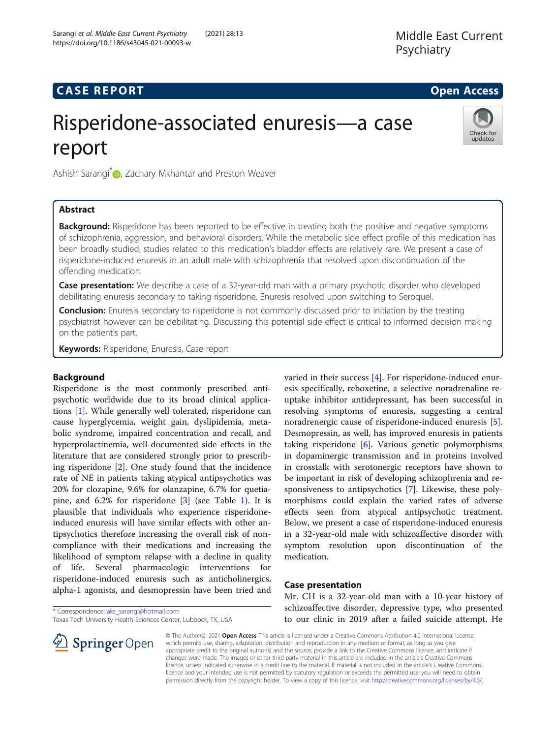# **CASE REPORT And SERVICE SERVICE SERVICE SERVICE SERVICE SERVICE SERVICE SERVICE SERVICE SERVICE SERVICE SERVICE**

# Risperidone-associated enuresis—a case report



Ashish Sarangi<sup>[\\*](http://orcid.org/0000-0003-3176-4006)</sup> <sub>D</sub>, Zachary Mkhantar and Preston Weaver

# Abstract

Background: Risperidone has been reported to be effective in treating both the positive and negative symptoms of schizophrenia, aggression, and behavioral disorders. While the metabolic side effect profile of this medication has been broadly studied, studies related to this medication's bladder effects are relatively rare. We present a case of risperidone-induced enuresis in an adult male with schizophrenia that resolved upon discontinuation of the offending medication.

Case presentation: We describe a case of a 32-year-old man with a primary psychotic disorder who developed debilitating enuresis secondary to taking risperidone. Enuresis resolved upon switching to Seroquel.

**Conclusion:** Enuresis secondary to risperidone is not commonly discussed prior to initiation by the treating psychiatrist however can be debilitating. Discussing this potential side effect is critical to informed decision making on the patient's part.

Keywords: Risperidone, Enuresis, Case report

# Background

Risperidone is the most commonly prescribed antipsychotic worldwide due to its broad clinical applications [\[1](#page-2-0)]. While generally well tolerated, risperidone can cause hyperglycemia, weight gain, dyslipidemia, metabolic syndrome, impaired concentration and recall, and hyperprolactinemia, well-documented side effects in the literature that are considered strongly prior to prescribing risperidone [\[2](#page-2-0)]. One study found that the incidence rate of NE in patients taking atypical antipsychotics was 20% for clozapine, 9.6% for olanzapine, 6.7% for quetiapine, and 6.2% for risperidone [[3\]](#page-2-0) (see Table [1\)](#page-1-0). It is plausible that individuals who experience risperidoneinduced enuresis will have similar effects with other antipsychotics therefore increasing the overall risk of noncompliance with their medications and increasing the likelihood of symptom relapse with a decline in quality of life. Several pharmacologic interventions for risperidone-induced enuresis such as anticholinergics, alpha-1 agonists, and desmopressin have been tried and

\* Correspondence: [aks\\_sarangi@hotmail.com](mailto:aks_sarangi@hotmail.com)

Texas Tech University Health Sciences Center, Lubbock, TX, USA

varied in their success [\[4](#page-2-0)]. For risperidone-induced enuresis specifically, reboxetine, a selective noradrenaline reuptake inhibitor antidepressant, has been successful in resolving symptoms of enuresis, suggesting a central noradrenergic cause of risperidone-induced enuresis [\[5](#page-2-0)]. Desmopressin, as well, has improved enuresis in patients taking risperidone [\[6](#page-2-0)]. Various genetic polymorphisms in dopaminergic transmission and in proteins involved in crosstalk with serotonergic receptors have shown to be important in risk of developing schizophrenia and responsiveness to antipsychotics [[7\]](#page-2-0). Likewise, these polymorphisms could explain the varied rates of adverse effects seen from atypical antipsychotic treatment. Below, we present a case of risperidone-induced enuresis in a 32-year-old male with schizoaffective disorder with symptom resolution upon discontinuation of the medication.

# Case presentation

Mr. CH is a 32-year-old man with a 10-year history of schizoaffective disorder, depressive type, who presented to our clinic in 2019 after a failed suicide attempt. He



© The Author(s). 2021 Open Access This article is licensed under a Creative Commons Attribution 4.0 International License, which permits use, sharing, adaptation, distribution and reproduction in any medium or format, as long as you give appropriate credit to the original author(s) and the source, provide a link to the Creative Commons licence, and indicate if changes were made. The images or other third party material in this article are included in the article's Creative Commons licence, unless indicated otherwise in a credit line to the material. If material is not included in the article's Creative Commons licence and your intended use is not permitted by statutory regulation or exceeds the permitted use, you will need to obtain permission directly from the copyright holder. To view a copy of this licence, visit <http://creativecommons.org/licenses/by/4.0/>.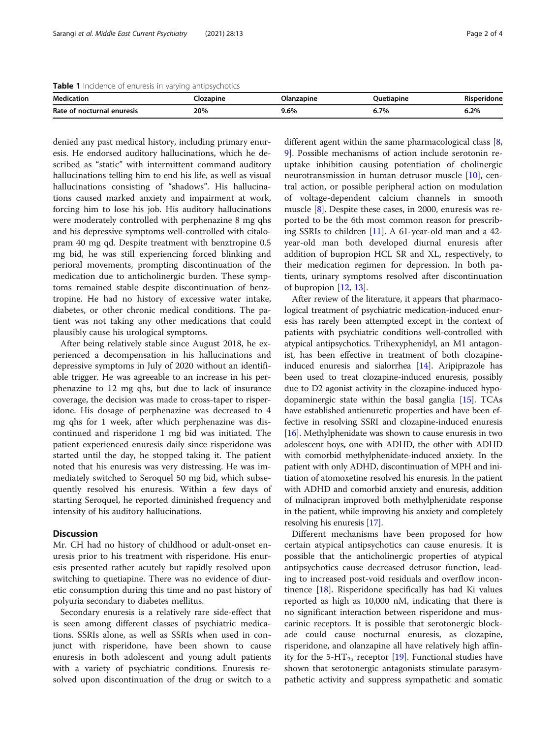<span id="page-1-0"></span>Table 1 Incidence of enuresis in varying antipsychotics

| <b>Medication</b>             | Clozapine | zapıne | <b>Quetiapine</b> | Risperidone |
|-------------------------------|-----------|--------|-------------------|-------------|
| Rate of nocturnal<br>enuresis | 20%       | 9.6%   | 6.7%              | 6.2%        |

denied any past medical history, including primary enuresis. He endorsed auditory hallucinations, which he described as "static" with intermittent command auditory hallucinations telling him to end his life, as well as visual hallucinations consisting of "shadows". His hallucinations caused marked anxiety and impairment at work, forcing him to lose his job. His auditory hallucinations were moderately controlled with perphenazine 8 mg qhs and his depressive symptoms well-controlled with citalopram 40 mg qd. Despite treatment with benztropine 0.5 mg bid, he was still experiencing forced blinking and perioral movements, prompting discontinuation of the medication due to anticholinergic burden. These symptoms remained stable despite discontinuation of benztropine. He had no history of excessive water intake, diabetes, or other chronic medical conditions. The patient was not taking any other medications that could plausibly cause his urological symptoms.

After being relatively stable since August 2018, he experienced a decompensation in his hallucinations and depressive symptoms in July of 2020 without an identifiable trigger. He was agreeable to an increase in his perphenazine to 12 mg qhs, but due to lack of insurance coverage, the decision was made to cross-taper to risperidone. His dosage of perphenazine was decreased to 4 mg qhs for 1 week, after which perphenazine was discontinued and risperidone 1 mg bid was initiated. The patient experienced enuresis daily since risperidone was started until the day, he stopped taking it. The patient noted that his enuresis was very distressing. He was immediately switched to Seroquel 50 mg bid, which subsequently resolved his enuresis. Within a few days of starting Seroquel, he reported diminished frequency and intensity of his auditory hallucinations.

### **Discussion**

Mr. CH had no history of childhood or adult-onset enuresis prior to his treatment with risperidone. His enuresis presented rather acutely but rapidly resolved upon switching to quetiapine. There was no evidence of diuretic consumption during this time and no past history of polyuria secondary to diabetes mellitus.

Secondary enuresis is a relatively rare side-effect that is seen among different classes of psychiatric medications. SSRIs alone, as well as SSRIs when used in conjunct with risperidone, have been shown to cause enuresis in both adolescent and young adult patients with a variety of psychiatric conditions. Enuresis resolved upon discontinuation of the drug or switch to a

different agent within the same pharmacological class [\[8](#page-2-0), [9\]](#page-2-0). Possible mechanisms of action include serotonin reuptake inhibition causing potentiation of cholinergic neurotransmission in human detrusor muscle [[10\]](#page-2-0), central action, or possible peripheral action on modulation of voltage-dependent calcium channels in smooth muscle [[8](#page-2-0)]. Despite these cases, in 2000, enuresis was reported to be the 6th most common reason for prescribing SSRIs to children [[11\]](#page-2-0). A 61-year-old man and a 42 year-old man both developed diurnal enuresis after addition of bupropion HCL SR and XL, respectively, to their medication regimen for depression. In both patients, urinary symptoms resolved after discontinuation of bupropion [\[12](#page-2-0), [13](#page-3-0)].

After review of the literature, it appears that pharmacological treatment of psychiatric medication-induced enuresis has rarely been attempted except in the context of patients with psychiatric conditions well-controlled with atypical antipsychotics. Trihexyphenidyl, an M1 antagonist, has been effective in treatment of both clozapineinduced enuresis and sialorrhea [\[14\]](#page-3-0). Aripiprazole has been used to treat clozapine-induced enuresis, possibly due to D2 agonist activity in the clozapine-induced hypodopaminergic state within the basal ganglia [\[15](#page-3-0)]. TCAs have established antienuretic properties and have been effective in resolving SSRI and clozapine-induced enuresis [[16](#page-3-0)]. Methylphenidate was shown to cause enuresis in two adolescent boys, one with ADHD, the other with ADHD with comorbid methylphenidate-induced anxiety. In the patient with only ADHD, discontinuation of MPH and initiation of atomoxetine resolved his enuresis. In the patient with ADHD and comorbid anxiety and enuresis, addition of milnacipran improved both methylphenidate response in the patient, while improving his anxiety and completely resolving his enuresis [[17](#page-3-0)].

Different mechanisms have been proposed for how certain atypical antipsychotics can cause enuresis. It is possible that the anticholinergic properties of atypical antipsychotics cause decreased detrusor function, leading to increased post-void residuals and overflow incontinence [\[18\]](#page-3-0). Risperidone specifically has had Ki values reported as high as 10,000 nM, indicating that there is no significant interaction between risperidone and muscarinic receptors. It is possible that serotonergic blockade could cause nocturnal enuresis, as clozapine, risperidone, and olanzapine all have relatively high affin-ity for the 5-HT<sub>2a</sub> receptor [\[19\]](#page-3-0). Functional studies have shown that serotonergic antagonists stimulate parasympathetic activity and suppress sympathetic and somatic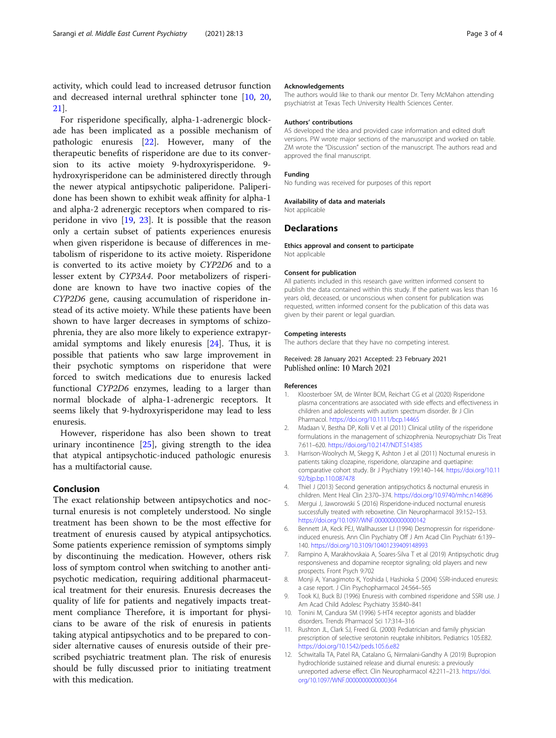<span id="page-2-0"></span>activity, which could lead to increased detrusor function and decreased internal urethral sphincter tone [10, [20](#page-3-0), [21\]](#page-3-0).

For risperidone specifically, alpha-1-adrenergic blockade has been implicated as a possible mechanism of pathologic enuresis [[22\]](#page-3-0). However, many of the therapeutic benefits of risperidone are due to its conversion to its active moiety 9-hydroxyrisperidone. 9 hydroxyrisperidone can be administered directly through the newer atypical antipsychotic paliperidone. Paliperidone has been shown to exhibit weak affinity for alpha-1 and alpha-2 adrenergic receptors when compared to risperidone in vivo [\[19,](#page-3-0) [23](#page-3-0)]. It is possible that the reason only a certain subset of patients experiences enuresis when given risperidone is because of differences in metabolism of risperidone to its active moiety. Risperidone is converted to its active moiety by CYP2D6 and to a lesser extent by CYP3A4. Poor metabolizers of risperidone are known to have two inactive copies of the CYP2D6 gene, causing accumulation of risperidone instead of its active moiety. While these patients have been shown to have larger decreases in symptoms of schizophrenia, they are also more likely to experience extrapyramidal symptoms and likely enuresis  $[24]$  $[24]$  $[24]$ . Thus, it is possible that patients who saw large improvement in their psychotic symptoms on risperidone that were forced to switch medications due to enuresis lacked functional CYP2D6 enzymes, leading to a larger than normal blockade of alpha-1-adrenergic receptors. It seems likely that 9-hydroxyrisperidone may lead to less enuresis.

However, risperidone has also been shown to treat urinary incontinence  $[25]$  $[25]$ , giving strength to the idea that atypical antipsychotic-induced pathologic enuresis has a multifactorial cause.

#### Conclusion

The exact relationship between antipsychotics and nocturnal enuresis is not completely understood. No single treatment has been shown to be the most effective for treatment of enuresis caused by atypical antipsychotics. Some patients experience remission of symptoms simply by discontinuing the medication. However, others risk loss of symptom control when switching to another antipsychotic medication, requiring additional pharmaceutical treatment for their enuresis. Enuresis decreases the quality of life for patients and negatively impacts treatment compliance Therefore, it is important for physicians to be aware of the risk of enuresis in patients taking atypical antipsychotics and to be prepared to consider alternative causes of enuresis outside of their prescribed psychiatric treatment plan. The risk of enuresis should be fully discussed prior to initiating treatment with this medication.

#### Acknowledgements

The authors would like to thank our mentor Dr. Terry McMahon attending psychiatrist at Texas Tech University Health Sciences Center.

#### Authors' contributions

AS developed the idea and provided case information and edited draft versions. PW wrote major sections of the manuscript and worked on table. ZM wrote the "Discussion" section of the manuscript. The authors read and approved the final manuscript.

#### Funding

No funding was received for purposes of this report

#### Availability of data and materials

Not applicable

#### **Declarations**

Ethics approval and consent to participate Not applicable

#### Consent for publication

All patients included in this research gave written informed consent to publish the data contained within this study. If the patient was less than 16 years old, deceased, or unconscious when consent for publication was requested, written informed consent for the publication of this data was given by their parent or legal guardian.

#### Competing interests

The authors declare that they have no competing interest.

#### Received: 28 January 2021 Accepted: 23 February 2021 Published online: 10 March 2021

#### References

- 1. Kloosterboer SM, de Winter BCM, Reichart CG et al (2020) Risperidone plasma concentrations are associated with side effects and effectiveness in children and adolescents with autism spectrum disorder. Br J Clin Pharmacol. <https://doi.org/10.1111/bcp.14465>
- 2. Madaan V, Bestha DP, Kolli V et al (2011) Clinical utility of the risperidone formulations in the management of schizophrenia. Neuropsychiatr Dis Treat 7:611–620. <https://doi.org/10.2147/NDT.S14385>
- 3. Harrison-Woolrych M, Skegg K, Ashton J et al (2011) Nocturnal enuresis in patients taking clozapine, risperidone, olanzapine and quetiapine: comparative cohort study. Br J Psychiatry 199:140–144. [https://doi.org/10.11](https://doi.org/10.1192/bjp.bp.110.087478) [92/bjp.bp.110.087478](https://doi.org/10.1192/bjp.bp.110.087478)
- Thiel J (2013) Second generation antipsychotics & nocturnal enuresis in children. Ment Heal Clin 2:370–374. <https://doi.org/10.9740/mhc.n146896>
- 5. Mergui J, Jaworowski S (2016) Risperidone-induced nocturnal enuresis successfully treated with reboxetine. Clin Neuropharmacol 39:152–153. <https://doi.org/10.1097/WNF.0000000000000142>
- Bennett JA, Keck PEJ, Wallhausser LJ (1994) Desmopressin for risperidoneinduced enuresis. Ann Clin Psychiatry Off J Am Acad Clin Psychiatr 6:139– 140. <https://doi.org/10.3109/10401239409148993>
- 7. Rampino A, Marakhovskaia A, Soares-Silva T et al (2019) Antipsychotic drug responsiveness and dopamine receptor signaling; old players and new prospects. Front Psych 9:702
- 8. Monji A, Yanagimoto K, Yoshida I, Hashioka S (2004) SSRI-induced enuresis: a case report. J Clin Psychopharmacol 24:564–565
- 9. Took KJ, Buck BJ (1996) Enuresis with combined risperidone and SSRI use. J Am Acad Child Adolesc Psychiatry 35:840–841
- 10. Tonini M, Candura SM (1996) 5-HT4 receptor agonists and bladder disorders. Trends Pharmacol Sci 17:314–316
- 11. Rushton JL, Clark SJ, Freed GL (2000) Pediatrician and family physician prescription of selective serotonin reuptake inhibitors. Pediatrics 105:E82. <https://doi.org/10.1542/peds.105.6.e82>
- 12. Schwitalla TA, Patel RA, Catalano G, Nirmalani-Gandhy A (2019) Bupropion hydrochloride sustained release and diurnal enuresis: a previously unreported adverse effect. Clin Neuropharmacol 42:211–213. [https://doi.](https://doi.org/10.1097/WNF.0000000000000364) [org/10.1097/WNF.0000000000000364](https://doi.org/10.1097/WNF.0000000000000364)